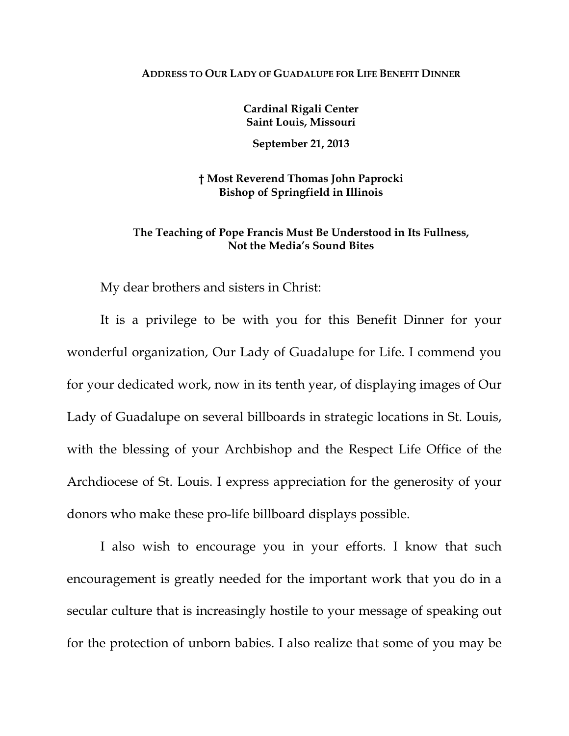## **ADDRESS TO OUR LADY OF GUADALUPE FOR LIFE BENEFIT DINNER**

**Cardinal Rigali Center Saint Louis, Missouri** 

**September 21, 2013** 

**† Most Reverend Thomas John Paprocki Bishop of Springfield in Illinois** 

## **The Teaching of Pope Francis Must Be Understood in Its Fullness, Not the Media's Sound Bites**

My dear brothers and sisters in Christ:

It is a privilege to be with you for this Benefit Dinner for your wonderful organization, Our Lady of Guadalupe for Life. I commend you for your dedicated work, now in its tenth year, of displaying images of Our Lady of Guadalupe on several billboards in strategic locations in St. Louis, with the blessing of your Archbishop and the Respect Life Office of the Archdiocese of St. Louis. I express appreciation for the generosity of your donors who make these pro-life billboard displays possible.

I also wish to encourage you in your efforts. I know that such encouragement is greatly needed for the important work that you do in a secular culture that is increasingly hostile to your message of speaking out for the protection of unborn babies. I also realize that some of you may be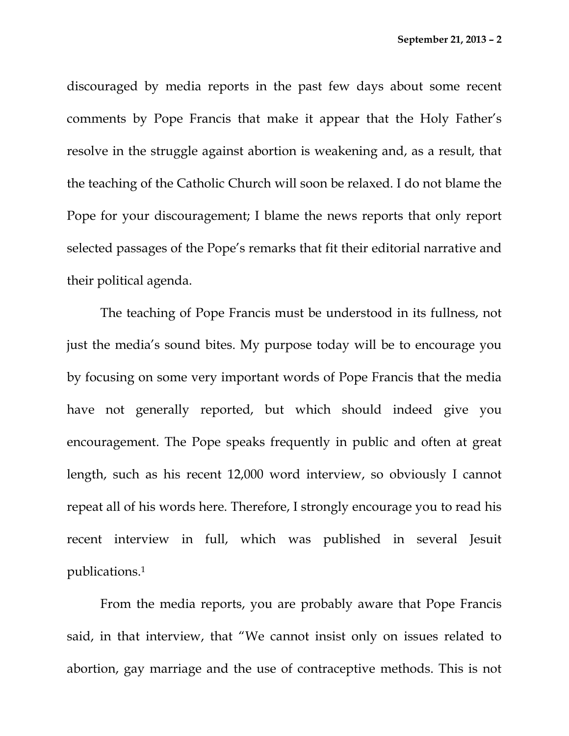discouraged by media reports in the past few days about some recent comments by Pope Francis that make it appear that the Holy Father's resolve in the struggle against abortion is weakening and, as a result, that the teaching of the Catholic Church will soon be relaxed. I do not blame the Pope for your discouragement; I blame the news reports that only report selected passages of the Pope's remarks that fit their editorial narrative and their political agenda.

The teaching of Pope Francis must be understood in its fullness, not just the media's sound bites. My purpose today will be to encourage you by focusing on some very important words of Pope Francis that the media have not generally reported, but which should indeed give you encouragement. The Pope speaks frequently in public and often at great length, such as his recent 12,000 word interview, so obviously I cannot repeat all of his words here. Therefore, I strongly encourage you to read his recent interview in full, which was published in several Jesuit publications.1

From the media reports, you are probably aware that Pope Francis said, in that interview, that "We cannot insist only on issues related to abortion, gay marriage and the use of contraceptive methods. This is not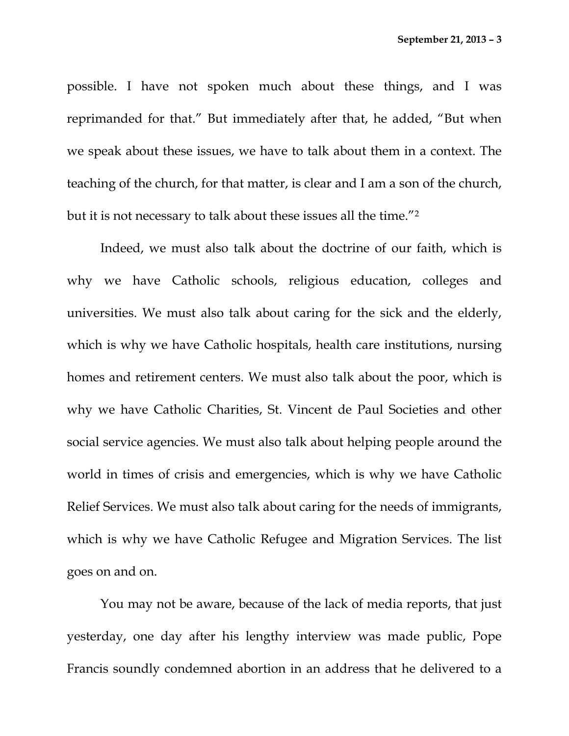possible. I have not spoken much about these things, and I was reprimanded for that." But immediately after that, he added, "But when we speak about these issues, we have to talk about them in a context. The teaching of the church, for that matter, is clear and I am a son of the church, but it is not necessary to talk about these issues all the time."2

Indeed, we must also talk about the doctrine of our faith, which is why we have Catholic schools, religious education, colleges and universities. We must also talk about caring for the sick and the elderly, which is why we have Catholic hospitals, health care institutions, nursing homes and retirement centers. We must also talk about the poor, which is why we have Catholic Charities, St. Vincent de Paul Societies and other social service agencies. We must also talk about helping people around the world in times of crisis and emergencies, which is why we have Catholic Relief Services. We must also talk about caring for the needs of immigrants, which is why we have Catholic Refugee and Migration Services. The list goes on and on.

You may not be aware, because of the lack of media reports, that just yesterday, one day after his lengthy interview was made public, Pope Francis soundly condemned abortion in an address that he delivered to a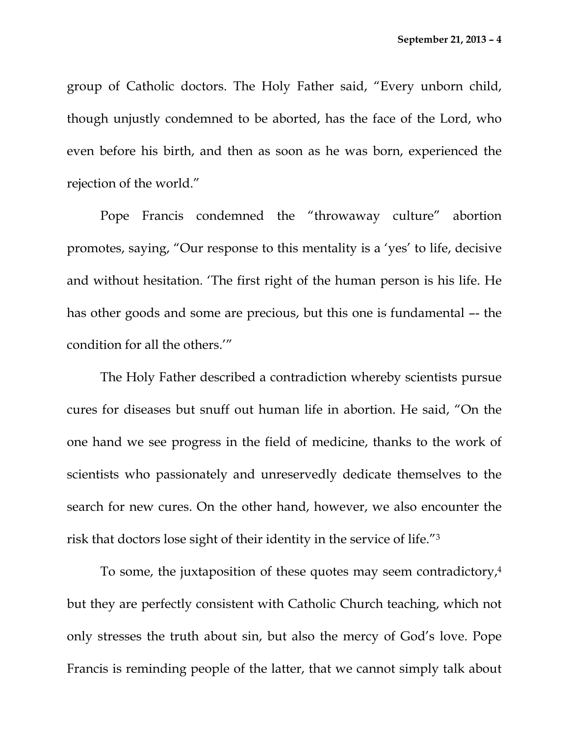group of Catholic doctors. The Holy Father said, "Every unborn child, though unjustly condemned to be aborted, has the face of the Lord, who even before his birth, and then as soon as he was born, experienced the rejection of the world."

Pope Francis condemned the "throwaway culture" abortion promotes, saying, "Our response to this mentality is a 'yes' to life, decisive and without hesitation. 'The first right of the human person is his life. He has other goods and some are precious, but this one is fundamental –- the condition for all the others.'"

The Holy Father described a contradiction whereby scientists pursue cures for diseases but snuff out human life in abortion. He said, "On the one hand we see progress in the field of medicine, thanks to the work of scientists who passionately and unreservedly dedicate themselves to the search for new cures. On the other hand, however, we also encounter the risk that doctors lose sight of their identity in the service of life."3

To some, the juxtaposition of these quotes may seem contradictory,4 but they are perfectly consistent with Catholic Church teaching, which not only stresses the truth about sin, but also the mercy of God's love. Pope Francis is reminding people of the latter, that we cannot simply talk about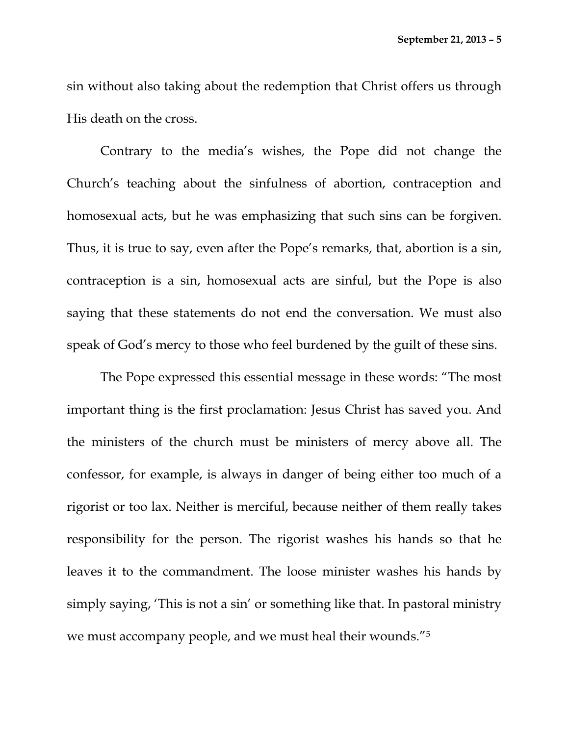sin without also taking about the redemption that Christ offers us through His death on the cross.

Contrary to the media's wishes, the Pope did not change the Church's teaching about the sinfulness of abortion, contraception and homosexual acts, but he was emphasizing that such sins can be forgiven. Thus, it is true to say, even after the Pope's remarks, that, abortion is a sin, contraception is a sin, homosexual acts are sinful, but the Pope is also saying that these statements do not end the conversation. We must also speak of God's mercy to those who feel burdened by the guilt of these sins.

The Pope expressed this essential message in these words: "The most important thing is the first proclamation: Jesus Christ has saved you. And the ministers of the church must be ministers of mercy above all. The confessor, for example, is always in danger of being either too much of a rigorist or too lax. Neither is merciful, because neither of them really takes responsibility for the person. The rigorist washes his hands so that he leaves it to the commandment. The loose minister washes his hands by simply saying, 'This is not a sin' or something like that. In pastoral ministry we must accompany people, and we must heal their wounds."5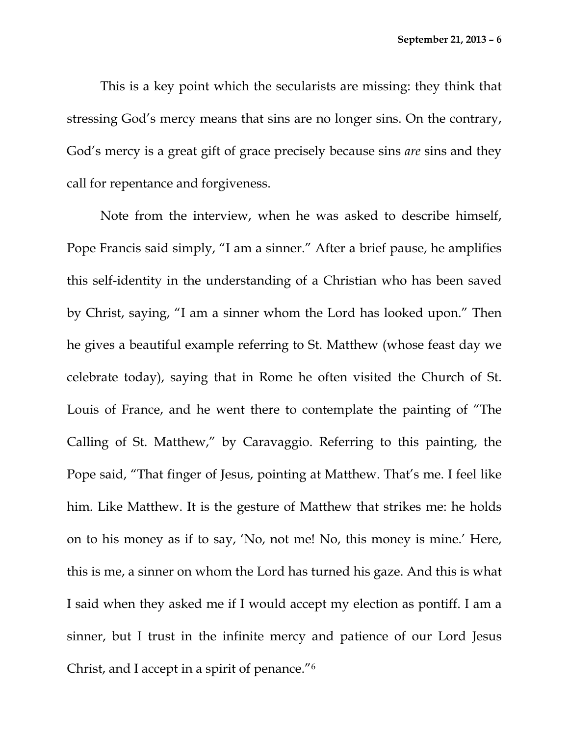This is a key point which the secularists are missing: they think that stressing God's mercy means that sins are no longer sins. On the contrary, God's mercy is a great gift of grace precisely because sins *are* sins and they call for repentance and forgiveness.

Note from the interview, when he was asked to describe himself, Pope Francis said simply, "I am a sinner." After a brief pause, he amplifies this self-identity in the understanding of a Christian who has been saved by Christ, saying, "I am a sinner whom the Lord has looked upon." Then he gives a beautiful example referring to St. Matthew (whose feast day we celebrate today), saying that in Rome he often visited the Church of St. Louis of France, and he went there to contemplate the painting of "The Calling of St. Matthew," by Caravaggio. Referring to this painting, the Pope said, "That finger of Jesus, pointing at Matthew. That's me. I feel like him. Like Matthew. It is the gesture of Matthew that strikes me: he holds on to his money as if to say, 'No, not me! No, this money is mine.' Here, this is me, a sinner on whom the Lord has turned his gaze. And this is what I said when they asked me if I would accept my election as pontiff. I am a sinner, but I trust in the infinite mercy and patience of our Lord Jesus Christ, and I accept in a spirit of penance."6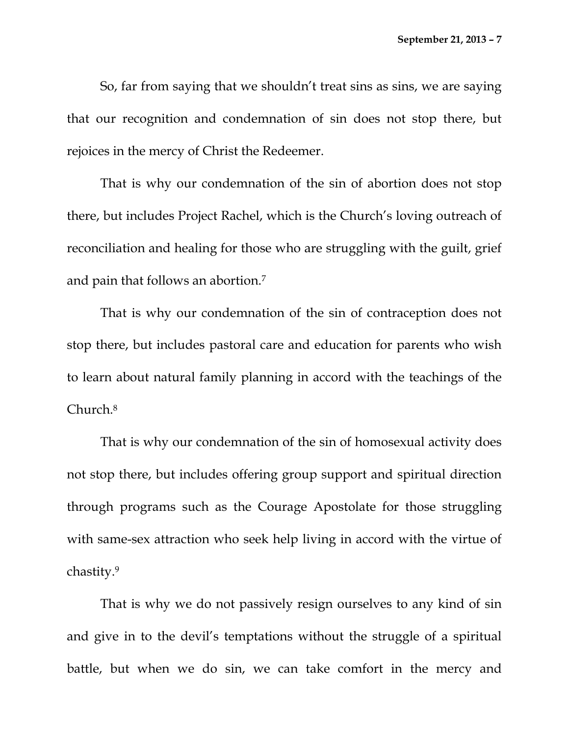So, far from saying that we shouldn't treat sins as sins, we are saying that our recognition and condemnation of sin does not stop there, but rejoices in the mercy of Christ the Redeemer.

That is why our condemnation of the sin of abortion does not stop there, but includes Project Rachel, which is the Church's loving outreach of reconciliation and healing for those who are struggling with the guilt, grief and pain that follows an abortion.7

That is why our condemnation of the sin of contraception does not stop there, but includes pastoral care and education for parents who wish to learn about natural family planning in accord with the teachings of the Church.8

That is why our condemnation of the sin of homosexual activity does not stop there, but includes offering group support and spiritual direction through programs such as the Courage Apostolate for those struggling with same-sex attraction who seek help living in accord with the virtue of chastity.9

That is why we do not passively resign ourselves to any kind of sin and give in to the devil's temptations without the struggle of a spiritual battle, but when we do sin, we can take comfort in the mercy and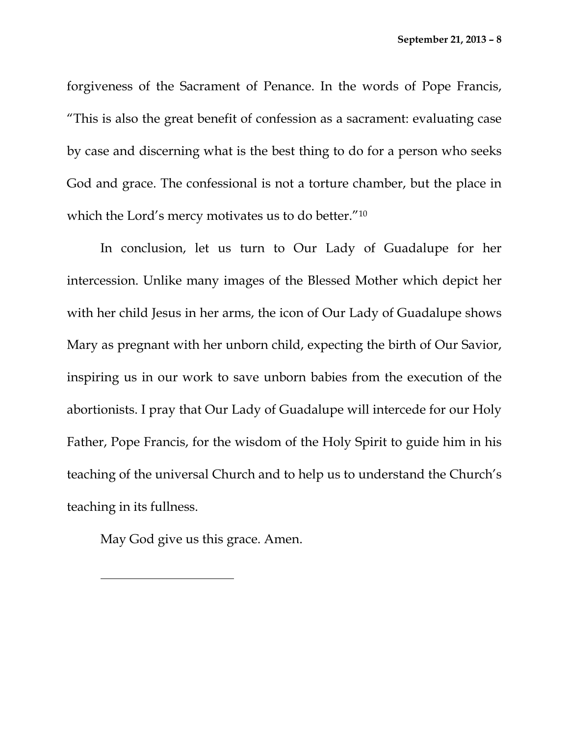forgiveness of the Sacrament of Penance. In the words of Pope Francis, "This is also the great benefit of confession as a sacrament: evaluating case by case and discerning what is the best thing to do for a person who seeks God and grace. The confessional is not a torture chamber, but the place in which the Lord's mercy motivates us to do better."10

In conclusion, let us turn to Our Lady of Guadalupe for her intercession. Unlike many images of the Blessed Mother which depict her with her child Jesus in her arms, the icon of Our Lady of Guadalupe shows Mary as pregnant with her unborn child, expecting the birth of Our Savior, inspiring us in our work to save unborn babies from the execution of the abortionists. I pray that Our Lady of Guadalupe will intercede for our Holy Father, Pope Francis, for the wisdom of the Holy Spirit to guide him in his teaching of the universal Church and to help us to understand the Church's teaching in its fullness.

May God give us this grace. Amen.

 $\overline{a}$